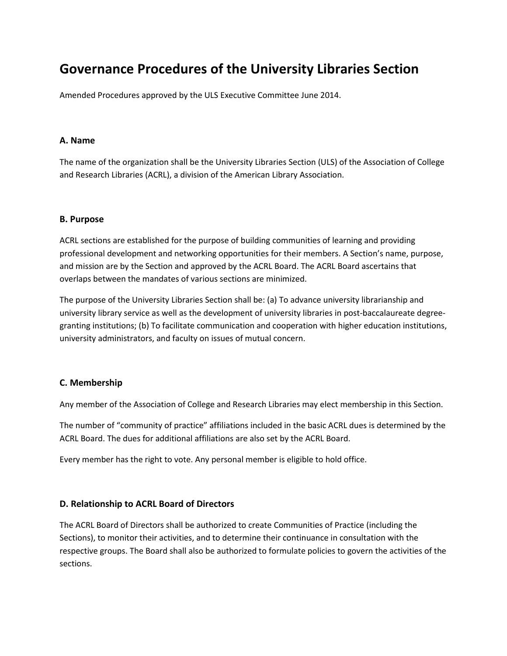# **Governance Procedures of the University Libraries Section**

Amended Procedures approved by the ULS Executive Committee June 2014.

### **A. Name**

The name of the organization shall be the University Libraries Section (ULS) of the Association of College and Research Libraries (ACRL), a division of the American Library Association.

### **B. Purpose**

ACRL sections are established for the purpose of building communities of learning and providing professional development and networking opportunities for their members. A Section's name, purpose, and mission are by the Section and approved by the ACRL Board. The ACRL Board ascertains that overlaps between the mandates of various sections are minimized.

The purpose of the University Libraries Section shall be: (a) To advance university librarianship and university library service as well as the development of university libraries in post-baccalaureate degreegranting institutions; (b) To facilitate communication and cooperation with higher education institutions, university administrators, and faculty on issues of mutual concern.

## **C. Membership**

Any member of the Association of College and Research Libraries may elect membership in this Section.

The number of "community of practice" affiliations included in the basic ACRL dues is determined by the ACRL Board. The dues for additional affiliations are also set by the ACRL Board.

Every member has the right to vote. Any personal member is eligible to hold office.

## **D. Relationship to ACRL Board of Directors**

The ACRL Board of Directors shall be authorized to create Communities of Practice (including the Sections), to monitor their activities, and to determine their continuance in consultation with the respective groups. The Board shall also be authorized to formulate policies to govern the activities of the sections.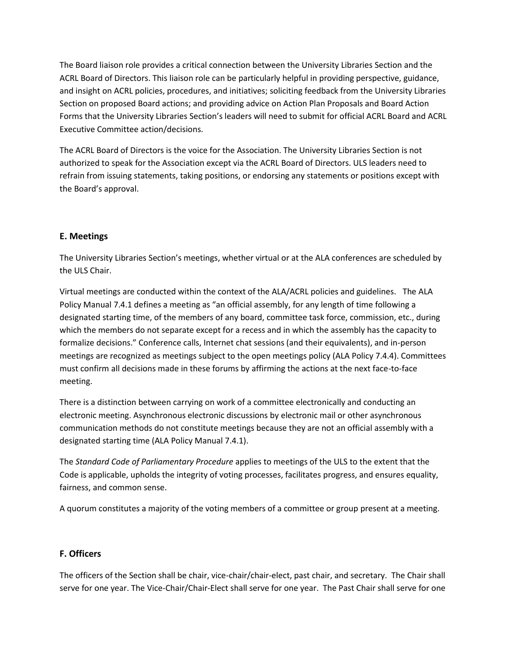The Board liaison role provides a critical connection between the University Libraries Section and the ACRL Board of Directors. This liaison role can be particularly helpful in providing perspective, guidance, and insight on ACRL policies, procedures, and initiatives; soliciting feedback from the University Libraries Section on proposed Board actions; and providing advice on Action Plan Proposals and Board Action Forms that the University Libraries Section's leaders will need to submit for official ACRL Board and ACRL Executive Committee action/decisions.

The ACRL Board of Directors is the voice for the Association. The University Libraries Section is not authorized to speak for the Association except via the ACRL Board of Directors. ULS leaders need to refrain from issuing statements, taking positions, or endorsing any statements or positions except with the Board's approval.

# **E. Meetings**

The University Libraries Section's meetings, whether virtual or at the ALA conferences are scheduled by the ULS Chair.

Virtual meetings are conducted within the context of the ALA/ACRL policies and guidelines. The ALA Policy Manual 7.4.1 defines a meeting as "an official assembly, for any length of time following a designated starting time, of the members of any board, committee task force, commission, etc., during which the members do not separate except for a recess and in which the assembly has the capacity to formalize decisions." Conference calls, Internet chat sessions (and their equivalents), and in-person meetings are recognized as meetings subject to the open meetings policy (ALA Policy 7.4.4). Committees must confirm all decisions made in these forums by affirming the actions at the next face-to-face meeting.

There is a distinction between carrying on work of a committee electronically and conducting an electronic meeting. Asynchronous electronic discussions by electronic mail or other asynchronous communication methods do not constitute meetings because they are not an official assembly with a designated starting time (ALA Policy Manual 7.4.1).

The *Standard Code of Parliamentary Procedure* applies to meetings of the ULS to the extent that the Code is applicable, upholds the integrity of voting processes, facilitates progress, and ensures equality, fairness, and common sense.

A quorum constitutes a majority of the voting members of a committee or group present at a meeting.

# **F. Officers**

The officers of the Section shall be chair, vice-chair/chair-elect, past chair, and secretary. The Chair shall serve for one year. The Vice-Chair/Chair-Elect shall serve for one year. The Past Chair shall serve for one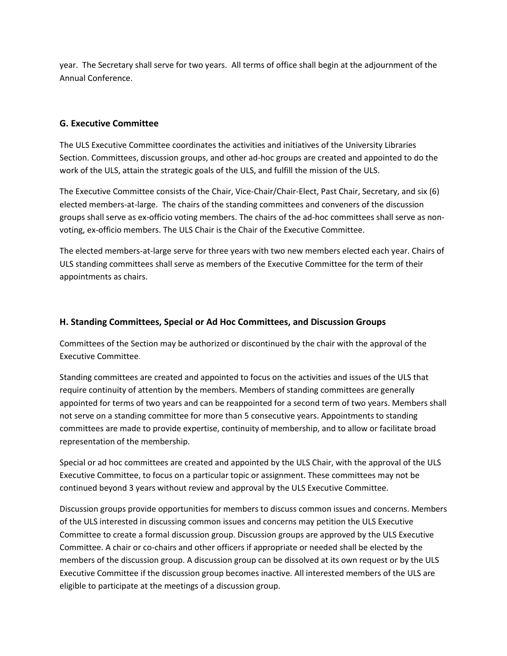year. The Secretary shall serve for two years. All terms of office shall begin at the adjournment of the Annual Conference.

# **G. Executive Committee**

The ULS Executive Committee coordinates the activities and initiatives of the University Libraries Section. Committees, discussion groups, and other ad-hoc groups are created and appointed to do the work of the ULS, attain the strategic goals of the ULS, and fulfill the mission of the ULS.

The Executive Committee consists of the Chair, Vice-Chair/Chair-Elect, Past Chair, Secretary, and six (6) elected members-at-large. The chairs of the standing committees and conveners of the discussion groups shall serve as ex-officio voting members. The chairs of the ad-hoc committees shall serve as nonvoting, ex-officio members. The ULS Chair is the Chair of the Executive Committee.

The elected members-at-large serve for three years with two new members elected each year. Chairs of ULS standing committees shall serve as members of the Executive Committee for the term of their appointments as chairs.

# **H. Standing Committees, Special or Ad Hoc Committees, and Discussion Groups**

Committees of the Section may be authorized or discontinued by the chair with the approval of the Executive Committee.

Standing committees are created and appointed to focus on the activities and issues of the ULS that require continuity of attention by the members. Members of standing committees are generally appointed for terms of two years and can be reappointed for a second term of two years. Members shall not serve on a standing committee for more than 5 consecutive years. Appointments to standing committees are made to provide expertise, continuity of membership, and to allow or facilitate broad representation of the membership.

Special or ad hoc committees are created and appointed by the ULS Chair, with the approval of the ULS Executive Committee, to focus on a particular topic or assignment. These committees may not be continued beyond 3 years without review and approval by the ULS Executive Committee.

Discussion groups provide opportunities for members to discuss common issues and concerns. Members of the ULS interested in discussing common issues and concerns may petition the ULS Executive Committee to create a formal discussion group. Discussion groups are approved by the ULS Executive Committee. A chair or co-chairs and other officers if appropriate or needed shall be elected by the members of the discussion group. A discussion group can be dissolved at its own request or by the ULS Executive Committee if the discussion group becomes inactive. All interested members of the ULS are eligible to participate at the meetings of a discussion group.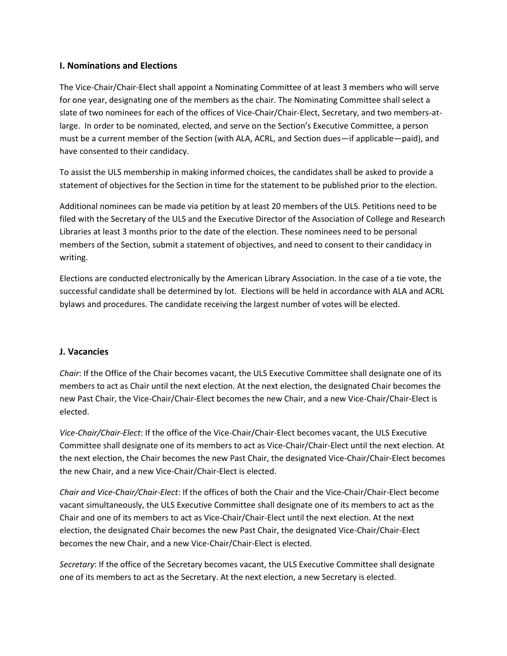## **I. Nominations and Elections**

The Vice-Chair/Chair-Elect shall appoint a Nominating Committee of at least 3 members who will serve for one year, designating one of the members as the chair. The Nominating Committee shall select a slate of two nominees for each of the offices of Vice-Chair/Chair-Elect, Secretary, and two members-atlarge. In order to be nominated, elected, and serve on the Section's Executive Committee, a person must be a current member of the Section (with ALA, ACRL, and Section dues—if applicable—paid), and have consented to their candidacy.

To assist the ULS membership in making informed choices, the candidates shall be asked to provide a statement of objectives for the Section in time for the statement to be published prior to the election.

Additional nominees can be made via petition by at least 20 members of the ULS. Petitions need to be filed with the Secretary of the ULS and the Executive Director of the Association of College and Research Libraries at least 3 months prior to the date of the election. These nominees need to be personal members of the Section, submit a statement of objectives, and need to consent to their candidacy in writing.

Elections are conducted electronically by the American Library Association. In the case of a tie vote, the successful candidate shall be determined by lot. Elections will be held in accordance with ALA and ACRL bylaws and procedures. The candidate receiving the largest number of votes will be elected.

# **J. Vacancies**

*Chair*: If the Office of the Chair becomes vacant, the ULS Executive Committee shall designate one of its members to act as Chair until the next election. At the next election, the designated Chair becomes the new Past Chair, the Vice-Chair/Chair-Elect becomes the new Chair, and a new Vice-Chair/Chair-Elect is elected.

*Vice-Chair/Chair-Elect*: If the office of the Vice-Chair/Chair-Elect becomes vacant, the ULS Executive Committee shall designate one of its members to act as Vice-Chair/Chair-Elect until the next election. At the next election, the Chair becomes the new Past Chair, the designated Vice-Chair/Chair-Elect becomes the new Chair, and a new Vice-Chair/Chair-Elect is elected.

*Chair and Vice-Chair/Chair-Elect*: If the offices of both the Chair and the Vice-Chair/Chair-Elect become vacant simultaneously, the ULS Executive Committee shall designate one of its members to act as the Chair and one of its members to act as Vice-Chair/Chair-Elect until the next election. At the next election, the designated Chair becomes the new Past Chair, the designated Vice-Chair/Chair-Elect becomes the new Chair, and a new Vice-Chair/Chair-Elect is elected.

*Secretary*: If the office of the Secretary becomes vacant, the ULS Executive Committee shall designate one of its members to act as the Secretary. At the next election, a new Secretary is elected.